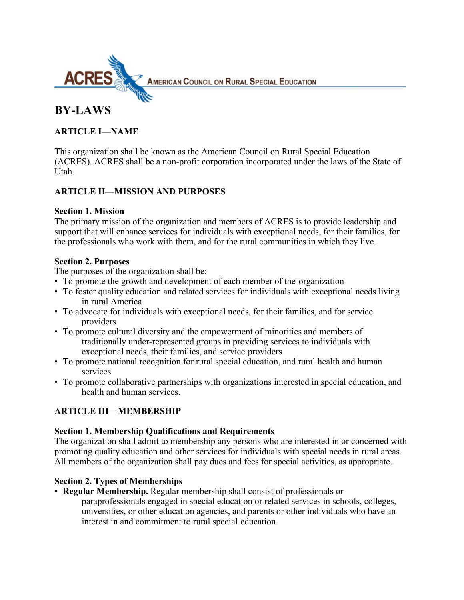

**AMERICAN COUNCIL ON RURAL SPECIAL EDUCATION** 

# **BY-LAWS**

### **ARTICLE I—NAME**

This organization shall be known as the American Council on Rural Special Education (ACRES). ACRES shall be a non-profit corporation incorporated under the laws of the State of Utah.

### **ARTICLE II—MISSION AND PURPOSES**

#### **Section 1. Mission**

The primary mission of the organization and members of ACRES is to provide leadership and support that will enhance services for individuals with exceptional needs, for their families, for the professionals who work with them, and for the rural communities in which they live.

### **Section 2. Purposes**

The purposes of the organization shall be:

- To promote the growth and development of each member of the organization
- To foster quality education and related services for individuals with exceptional needs living in rural America
- To advocate for individuals with exceptional needs, for their families, and for service providers
- To promote cultural diversity and the empowerment of minorities and members of traditionally under-represented groups in providing services to individuals with exceptional needs, their families, and service providers
- To promote national recognition for rural special education, and rural health and human services
- To promote collaborative partnerships with organizations interested in special education, and health and human services.

# **ARTICLE III—MEMBERSHIP**

### **Section 1. Membership Qualifications and Requirements**

The organization shall admit to membership any persons who are interested in or concerned with promoting quality education and other services for individuals with special needs in rural areas. All members of the organization shall pay dues and fees for special activities, as appropriate.

### **Section 2. Types of Memberships**

• **Regular Membership.** Regular membership shall consist of professionals or paraprofessionals engaged in special education or related services in schools, colleges, universities, or other education agencies, and parents or other individuals who have an interest in and commitment to rural special education.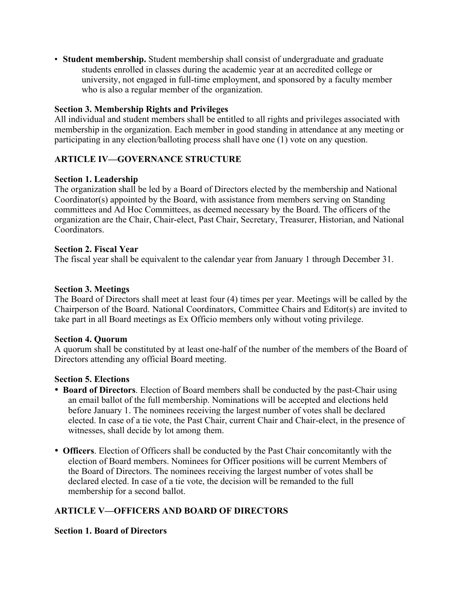• **Student membership.** Student membership shall consist of undergraduate and graduate students enrolled in classes during the academic year at an accredited college or university, not engaged in full-time employment, and sponsored by a faculty member who is also a regular member of the organization.

#### **Section 3. Membership Rights and Privileges**

All individual and student members shall be entitled to all rights and privileges associated with membership in the organization. Each member in good standing in attendance at any meeting or participating in any election/balloting process shall have one (1) vote on any question.

### **ARTICLE IV—GOVERNANCE STRUCTURE**

#### **Section 1. Leadership**

The organization shall be led by a Board of Directors elected by the membership and National Coordinator(s) appointed by the Board, with assistance from members serving on Standing committees and Ad Hoc Committees, as deemed necessary by the Board. The officers of the organization are the Chair, Chair-elect, Past Chair, Secretary, Treasurer, Historian, and National Coordinators.

#### **Section 2. Fiscal Year**

The fiscal year shall be equivalent to the calendar year from January 1 through December 31.

#### **Section 3. Meetings**

The Board of Directors shall meet at least four (4) times per year. Meetings will be called by the Chairperson of the Board. National Coordinators, Committee Chairs and Editor(s) are invited to take part in all Board meetings as Ex Officio members only without voting privilege.

#### **Section 4. Quorum**

A quorum shall be constituted by at least one-half of the number of the members of the Board of Directors attending any official Board meeting.

#### **Section 5. Elections**

- **Board of Directors**. Election of Board members shall be conducted by the past-Chair using an email ballot of the full membership. Nominations will be accepted and elections held before January 1. The nominees receiving the largest number of votes shall be declared elected. In case of a tie vote, the Past Chair, current Chair and Chair-elect, in the presence of witnesses, shall decide by lot among them.
- **Officers**. Election of Officers shall be conducted by the Past Chair concomitantly with the election of Board members. Nominees for Officer positions will be current Members of the Board of Directors. The nominees receiving the largest number of votes shall be declared elected. In case of a tie vote, the decision will be remanded to the full membership for a second ballot.

### **ARTICLE V—OFFICERS AND BOARD OF DIRECTORS**

#### **Section 1. Board of Directors**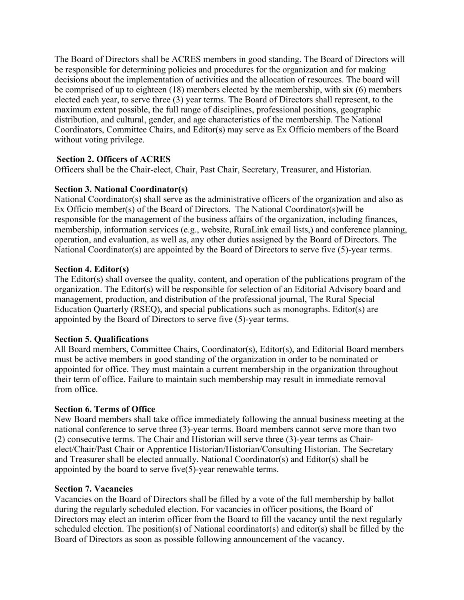The Board of Directors shall be ACRES members in good standing. The Board of Directors will be responsible for determining policies and procedures for the organization and for making decisions about the implementation of activities and the allocation of resources. The board will be comprised of up to eighteen (18) members elected by the membership, with six (6) members elected each year, to serve three (3) year terms. The Board of Directors shall represent, to the maximum extent possible, the full range of disciplines, professional positions, geographic distribution, and cultural, gender, and age characteristics of the membership. The National Coordinators, Committee Chairs, and Editor(s) may serve as Ex Officio members of the Board without voting privilege.

### **Section 2. Officers of ACRES**

Officers shall be the Chair-elect, Chair, Past Chair, Secretary, Treasurer, and Historian.

#### **Section 3. National Coordinator(s)**

National Coordinator(s) shall serve as the administrative officers of the organization and also as Ex Officio member(s) of the Board of Directors. The National Coordinator(s)will be responsible for the management of the business affairs of the organization, including finances, membership, information services (e.g., website, RuraLink email lists,) and conference planning, operation, and evaluation, as well as, any other duties assigned by the Board of Directors. The National Coordinator(s) are appointed by the Board of Directors to serve five (5)-year terms.

#### **Section 4. Editor(s)**

The Editor(s) shall oversee the quality, content, and operation of the publications program of the organization. The Editor(s) will be responsible for selection of an Editorial Advisory board and management, production, and distribution of the professional journal, The Rural Special Education Quarterly (RSEQ), and special publications such as monographs. Editor(s) are appointed by the Board of Directors to serve five (5)-year terms.

### **Section 5. Qualifications**

All Board members, Committee Chairs, Coordinator(s), Editor(s), and Editorial Board members must be active members in good standing of the organization in order to be nominated or appointed for office. They must maintain a current membership in the organization throughout their term of office. Failure to maintain such membership may result in immediate removal from office.

### **Section 6. Terms of Office**

New Board members shall take office immediately following the annual business meeting at the national conference to serve three (3)-year terms. Board members cannot serve more than two (2) consecutive terms. The Chair and Historian will serve three (3)-year terms as Chairelect/Chair/Past Chair or Apprentice Historian/Historian/Consulting Historian. The Secretary and Treasurer shall be elected annually. National Coordinator(s) and Editor(s) shall be appointed by the board to serve five(5)-year renewable terms.

#### **Section 7. Vacancies**

Vacancies on the Board of Directors shall be filled by a vote of the full membership by ballot during the regularly scheduled election. For vacancies in officer positions, the Board of Directors may elect an interim officer from the Board to fill the vacancy until the next regularly scheduled election. The position(s) of National coordinator(s) and editor(s) shall be filled by the Board of Directors as soon as possible following announcement of the vacancy.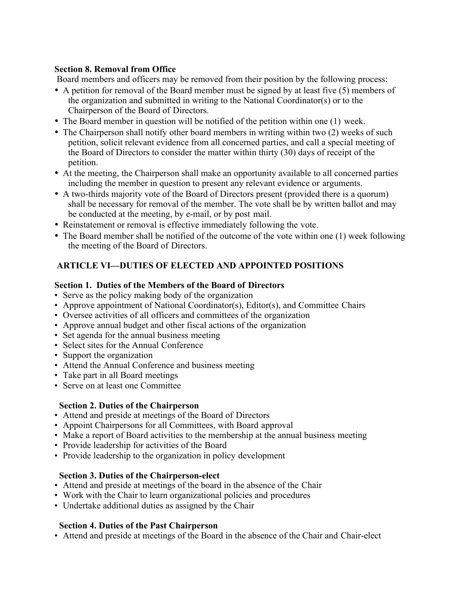### **Section 8. Removal from Office**

Board members and officers may be removed from their position by the following process:

- A petition for removal of the Board member must be signed by at least five (5) members of the organization and submitted in writing to the National Coordinator(s) or to the Chairperson of the Board of Directors.
- The Board member in question will be notified of the petition within one (1) week.
- The Chairperson shall notify other board members in writing within two (2) weeks of such petition, solicit relevant evidence from all concerned parties, and call a special meeting of the Board of Directors to consider the matter within thirty (30) days of receipt of the petition.
- At the meeting, the Chairperson shall make an opportunity available to all concerned parties including the member in question to present any relevant evidence or arguments.
- A two-thirds majority vote of the Board of Directors present (provided there is a quorum) shall be necessary for removal of the member. The vote shall be by written ballot and may be conducted at the meeting, by e-mail, or by post mail.
- Reinstatement or removal is effective immediately following the vote.
- The Board member shall be notified of the outcome of the vote within one (1) week following the meeting of the Board of Directors.

# **ARTICLE VI—DUTIES OF ELECTED AND APPOINTED POSITIONS**

### **Section 1. Duties of the Members of the Board of Directors**

- Serve as the policy making body of the organization
- Approve appointment of National Coordinator(s), Editor(s), and Committee Chairs
- Oversee activities of all officers and committees of the organization
- Approve annual budget and other fiscal actions of the organization
- Set agenda for the annual business meeting
- Select sites for the Annual Conference
- Support the organization
- Attend the Annual Conference and business meeting
- Take part in all Board meetings
- Serve on at least one Committee

# **Section 2. Duties of the Chairperson**

- Attend and preside at meetings of the Board of Directors
- Appoint Chairpersons for all Committees, with Board approval
- Make a report of Board activities to the membership at the annual business meeting
- Provide leadership for activities of the Board
- Provide leadership to the organization in policy development

# **Section 3. Duties of the Chairperson-elect**

- Attend and preside at meetings of the board in the absence of the Chair
- Work with the Chair to learn organizational policies and procedures
- Undertake additional duties as assigned by the Chair

# **Section 4. Duties of the Past Chairperson**

• Attend and preside at meetings of the Board in the absence of the Chair and Chair-elect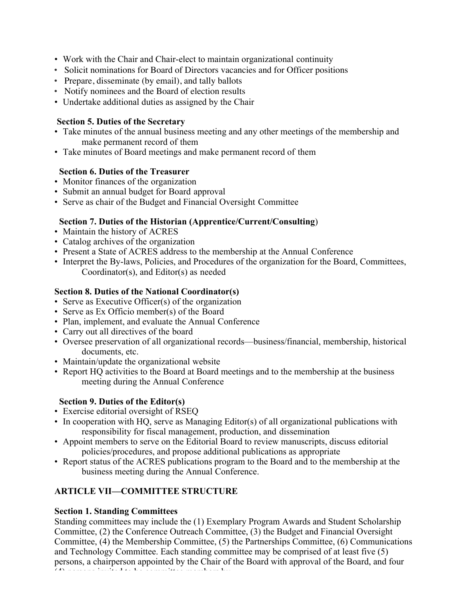- Work with the Chair and Chair-elect to maintain organizational continuity
- Solicit nominations for Board of Directors vacancies and for Officer positions
- Prepare, disseminate (by email), and tally ballots
- Notify nominees and the Board of election results
- Undertake additional duties as assigned by the Chair

### **Section 5. Duties of the Secretary**

- Take minutes of the annual business meeting and any other meetings of the membership and make permanent record of them
- Take minutes of Board meetings and make permanent record of them

### **Section 6. Duties of the Treasurer**

- Monitor finances of the organization
- Submit an annual budget for Board approval
- Serve as chair of the Budget and Financial Oversight Committee

# **Section 7. Duties of the Historian (Apprentice/Current/Consulting**)

- Maintain the history of ACRES
- Catalog archives of the organization
- Present a State of ACRES address to the membership at the Annual Conference
- Interpret the By-laws, Policies, and Procedures of the organization for the Board, Committees, Coordinator(s), and Editor(s) as needed

# **Section 8. Duties of the National Coordinator(s)**

- Serve as Executive Officer(s) of the organization
- Serve as Ex Officio member(s) of the Board
- Plan, implement, and evaluate the Annual Conference
- Carry out all directives of the board
- Oversee preservation of all organizational records—business/financial, membership, historical documents, etc.
- Maintain/update the organizational website
- Report HQ activities to the Board at Board meetings and to the membership at the business meeting during the Annual Conference

# **Section 9. Duties of the Editor(s)**

- Exercise editorial oversight of RSEQ
- In cooperation with HQ, serve as Managing Editor(s) of all organizational publications with responsibility for fiscal management, production, and dissemination
- Appoint members to serve on the Editorial Board to review manuscripts, discuss editorial policies/procedures, and propose additional publications as appropriate
- Report status of the ACRES publications program to the Board and to the membership at the business meeting during the Annual Conference.

# **ARTICLE VII—COMMITTEE STRUCTURE**

# **Section 1. Standing Committees**

Standing committees may include the (1) Exemplary Program Awards and Student Scholarship Committee, (2) the Conference Outreach Committee, (3) the Budget and Financial Oversight Committee, (4) the Membership Committee, (5) the Partnerships Committee, (6) Communications and Technology Committee. Each standing committee may be comprised of at least five (5) persons, a chairperson appointed by the Chair of the Board with approval of the Board, and four (4) persons invited to be committed to be computed to be committed to be committed to be committed to be committed to be committed to be committed to be committed to be committed to be committed to be committed to be comm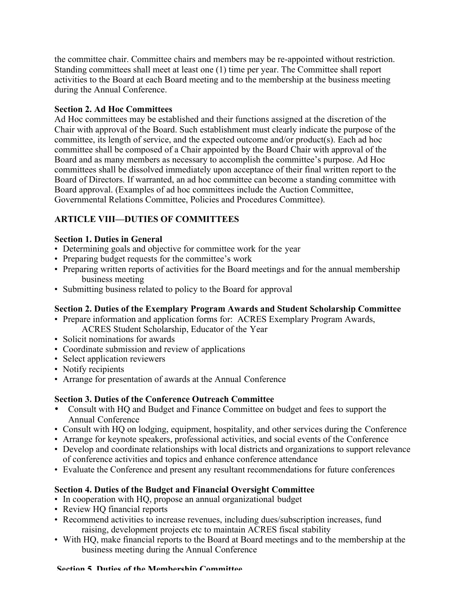the committee chair. Committee chairs and members may be re-appointed without restriction. Standing committees shall meet at least one (1) time per year. The Committee shall report activities to the Board at each Board meeting and to the membership at the business meeting during the Annual Conference.

### **Section 2. Ad Hoc Committees**

Ad Hoc committees may be established and their functions assigned at the discretion of the Chair with approval of the Board. Such establishment must clearly indicate the purpose of the committee, its length of service, and the expected outcome and/or product(s). Each ad hoc committee shall be composed of a Chair appointed by the Board Chair with approval of the Board and as many members as necessary to accomplish the committee's purpose. Ad Hoc committees shall be dissolved immediately upon acceptance of their final written report to the Board of Directors. If warranted, an ad hoc committee can become a standing committee with Board approval. (Examples of ad hoc committees include the Auction Committee, Governmental Relations Committee, Policies and Procedures Committee).

# **ARTICLE VIII—DUTIES OF COMMITTEES**

### **Section 1. Duties in General**

- Determining goals and objective for committee work for the year
- Preparing budget requests for the committee's work
- Preparing written reports of activities for the Board meetings and for the annual membership business meeting
- Submitting business related to policy to the Board for approval

# **Section 2. Duties of the Exemplary Program Awards and Student Scholarship Committee**

- Prepare information and application forms for: ACRES Exemplary Program Awards, ACRES Student Scholarship, Educator of the Year
- Solicit nominations for awards
- Coordinate submission and review of applications
- Select application reviewers
- Notify recipients
- Arrange for presentation of awards at the Annual Conference

# **Section 3. Duties of the Conference Outreach Committee**

- Consult with HQ and Budget and Finance Committee on budget and fees to support the Annual Conference
- Consult with HQ on lodging, equipment, hospitality, and other services during the Conference
- Arrange for keynote speakers, professional activities, and social events of the Conference
- Develop and coordinate relationships with local districts and organizations to support relevance of conference activities and topics and enhance conference attendance
- Evaluate the Conference and present any resultant recommendations for future conferences

# **Section 4. Duties of the Budget and Financial Oversight Committee**

- In cooperation with HQ, propose an annual organizational budget
- Review HQ financial reports
- Recommend activities to increase revenues, including dues/subscription increases, fund raising, development projects etc to maintain ACRES fiscal stability
- With HQ, make financial reports to the Board at Board meetings and to the membership at the business meeting during the Annual Conference

#### **Section 5. Duties of the Membership Committee**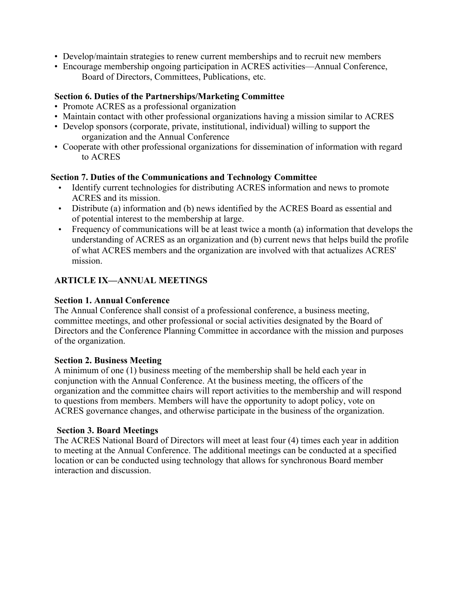- Develop/maintain strategies to renew current memberships and to recruit new members
- Encourage membership ongoing participation in ACRES activities—Annual Conference, Board of Directors, Committees, Publications, etc.

#### **Section 6. Duties of the Partnerships/Marketing Committee**

- Promote ACRES as a professional organization
- Maintain contact with other professional organizations having a mission similar to ACRES
- Develop sponsors (corporate, private, institutional, individual) willing to support the organization and the Annual Conference
- Cooperate with other professional organizations for dissemination of information with regard to ACRES

#### **Section 7. Duties of the Communications and Technology Committee**

- Identify current technologies for distributing ACRES information and news to promote ACRES and its mission.
- Distribute (a) information and (b) news identified by the ACRES Board as essential and of potential interest to the membership at large.
- Frequency of communications will be at least twice a month (a) information that develops the understanding of ACRES as an organization and (b) current news that helps build the profile of what ACRES members and the organization are involved with that actualizes ACRES' mission.

### **ARTICLE IX—ANNUAL MEETINGS**

#### **Section 1. Annual Conference**

The Annual Conference shall consist of a professional conference, a business meeting, committee meetings, and other professional or social activities designated by the Board of Directors and the Conference Planning Committee in accordance with the mission and purposes of the organization.

#### **Section 2. Business Meeting**

A minimum of one (1) business meeting of the membership shall be held each year in conjunction with the Annual Conference. At the business meeting, the officers of the organization and the committee chairs will report activities to the membership and will respond to questions from members. Members will have the opportunity to adopt policy, vote on ACRES governance changes, and otherwise participate in the business of the organization.

#### **Section 3. Board Meetings**

The ACRES National Board of Directors will meet at least four (4) times each year in addition to meeting at the Annual Conference. The additional meetings can be conducted at a specified location or can be conducted using technology that allows for synchronous Board member interaction and discussion.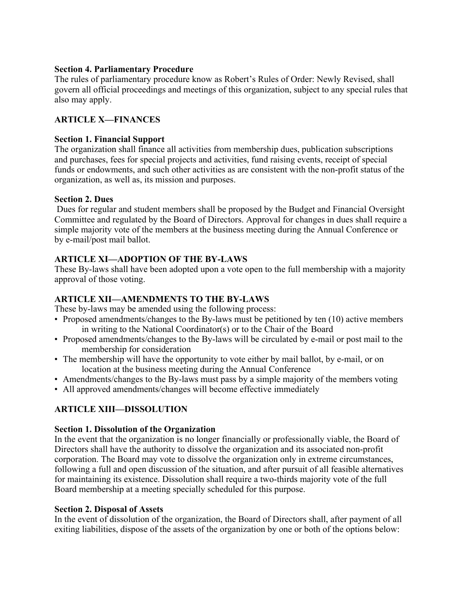#### **Section 4. Parliamentary Procedure**

The rules of parliamentary procedure know as Robert's Rules of Order: Newly Revised, shall govern all official proceedings and meetings of this organization, subject to any special rules that also may apply.

### **ARTICLE X—FINANCES**

#### **Section 1. Financial Support**

The organization shall finance all activities from membership dues, publication subscriptions and purchases, fees for special projects and activities, fund raising events, receipt of special funds or endowments, and such other activities as are consistent with the non-profit status of the organization, as well as, its mission and purposes.

#### **Section 2. Dues**

 Dues for regular and student members shall be proposed by the Budget and Financial Oversight Committee and regulated by the Board of Directors. Approval for changes in dues shall require a simple majority vote of the members at the business meeting during the Annual Conference or by e-mail/post mail ballot.

### **ARTICLE XI—ADOPTION OF THE BY-LAWS**

These By-laws shall have been adopted upon a vote open to the full membership with a majority approval of those voting.

#### **ARTICLE XII—AMENDMENTS TO THE BY-LAWS**

These by-laws may be amended using the following process:

- Proposed amendments/changes to the By-laws must be petitioned by ten (10) active members in writing to the National Coordinator(s) or to the Chair of the Board
- Proposed amendments/changes to the By-laws will be circulated by e-mail or post mail to the membership for consideration
- The membership will have the opportunity to vote either by mail ballot, by e-mail, or on location at the business meeting during the Annual Conference
- Amendments/changes to the By-laws must pass by a simple majority of the members voting
- All approved amendments/changes will become effective immediately

# **ARTICLE XIII—DISSOLUTION**

#### **Section 1. Dissolution of the Organization**

In the event that the organization is no longer financially or professionally viable, the Board of Directors shall have the authority to dissolve the organization and its associated non-profit corporation. The Board may vote to dissolve the organization only in extreme circumstances, following a full and open discussion of the situation, and after pursuit of all feasible alternatives for maintaining its existence. Dissolution shall require a two-thirds majority vote of the full Board membership at a meeting specially scheduled for this purpose.

#### **Section 2. Disposal of Assets**

In the event of dissolution of the organization, the Board of Directors shall, after payment of all exiting liabilities, dispose of the assets of the organization by one or both of the options below: